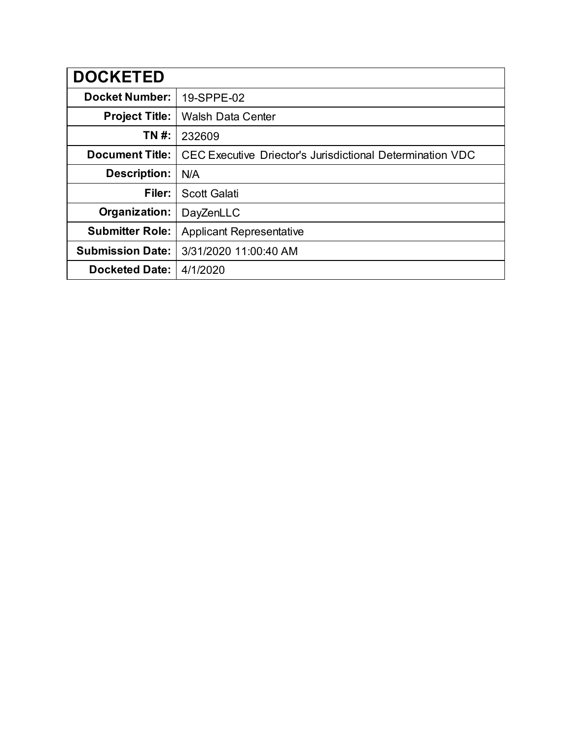| <b>DOCKETED</b>         |                                                           |
|-------------------------|-----------------------------------------------------------|
| <b>Docket Number:</b>   | 19-SPPE-02                                                |
| <b>Project Title:</b>   | <b>Walsh Data Center</b>                                  |
| TN #:                   | 232609                                                    |
| <b>Document Title:</b>  | CEC Executive Driector's Jurisdictional Determination VDC |
| Description:            | N/A                                                       |
| Filer:                  | <b>Scott Galati</b>                                       |
| Organization:           | DayZenLLC                                                 |
| <b>Submitter Role:</b>  | <b>Applicant Representative</b>                           |
| <b>Submission Date:</b> | 3/31/2020 11:00:40 AM                                     |
| <b>Docketed Date:</b>   | 4/1/2020                                                  |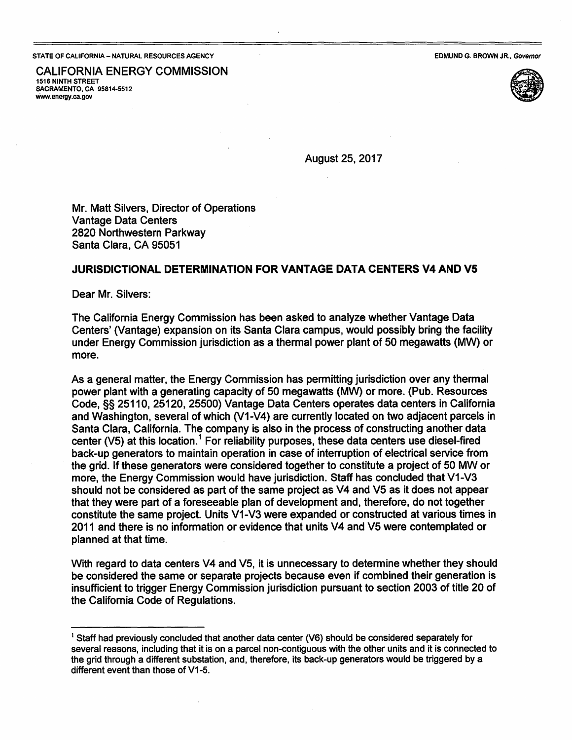## **STATE OF CALIFORNIA- NATURAL RESOURCES AGENCY**

EDMUND G. **BROWN** JR., Governor

CALIFORNIA ENERGY COMMISSION **1516 NINTH** STREET **SACRAMENTO, CA 95814-5512**  www.energy.ca.gov



August25,2017

Mr. Matt Silvers, Director of Operations Vantage Data Centers 2820 Northwestern Parkway Santa Clara, CA 95051

## **JURISDICTIONAL DETERMINATION FOR VANTAGE DATA CENTERS V4 AND VS**

Dear Mr. Silvers:

The California Energy Commission has been asked to analyze whether Vantage. Data Centers' (Vantage) expansion on its Santa Clara campus, would possibly bring the facility under Energy Commission jurisdiction as a thermal power plant of 50 megawatts (MW) or more.

As a general matter, the Energy Commission has permitting jurisdiction over any thermal power plant with a generating capacity of 50 megawatts (MW) or more. (Pub. Resources Code, §§ 25110, 25120, 25500) Vantage Data Centers operates data centers in California and Washington, several of which (V1-V4) are currently located on two adjacent parcels in Santa Clara, California. The company is also in the process of constructing another data center (V5) at this location.<sup>1</sup> For reliability purposes, these data centers use diesel-fired back-up generators to maintain operation in case of interruption of electrical service from the grid. If these generators were considered together to constitute a project of 50 MW or more, the Energy Commission would have jurisdiction. Staff has concluded that V1-V3 should not be considered as part of the same project as V4 and V5 as it does not appear that they were part of a foreseeable plan of development and, therefore, do not together constitute the same project. Units V1-V3 were expanded or constructed at various times in 2011 and there is no information or evidence that units V4 and V5 were contemplated or planned at that time.

With regard to data centers V4 and V5, it is unnecessary to determine whether they should be considered the same or separate projects because even if combined their generation is insufficient to trigger Energy Commission jurisdiction pursuant to section 2003 of title 20 of the California Code of Regulations.

 $<sup>1</sup>$  Staff had previously concluded that another data center (V6) should be considered separately for</sup> several reasons, including that it is on a parcel non-contiguous with the other units and it is connected to the grid through a different substation, and, therefore, its back-up generators would be triggered by a different event than those of V1-5.